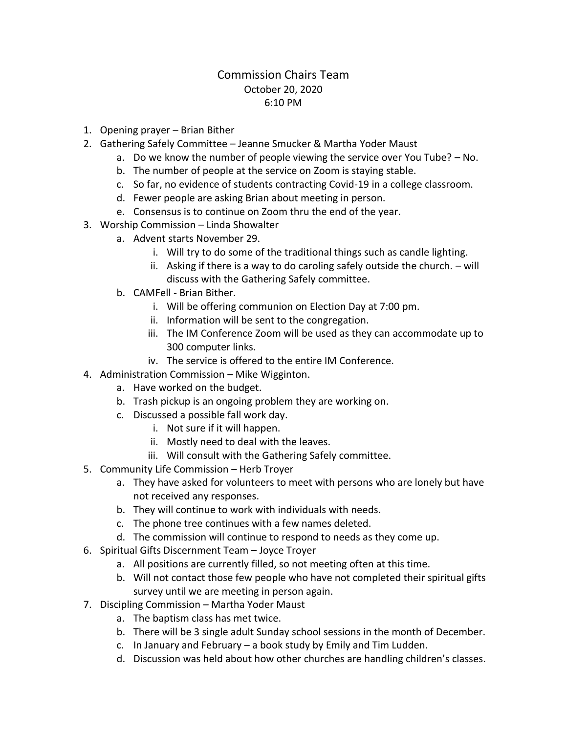## Commission Chairs Team October 20, 2020 6:10 PM

- 1. Opening prayer Brian Bither
- 2. Gathering Safely Committee Jeanne Smucker & Martha Yoder Maust
	- a. Do we know the number of people viewing the service over You Tube? No.
	- b. The number of people at the service on Zoom is staying stable.
	- c. So far, no evidence of students contracting Covid-19 in a college classroom.
	- d. Fewer people are asking Brian about meeting in person.
	- e. Consensus is to continue on Zoom thru the end of the year.
- 3. Worship Commission Linda Showalter
	- a. Advent starts November 29.
		- i. Will try to do some of the traditional things such as candle lighting.
		- ii. Asking if there is a way to do caroling safely outside the church. will discuss with the Gathering Safely committee.
	- b. CAMFell Brian Bither.
		- i. Will be offering communion on Election Day at 7:00 pm.
		- ii. Information will be sent to the congregation.
		- iii. The IM Conference Zoom will be used as they can accommodate up to 300 computer links.
		- iv. The service is offered to the entire IM Conference.
- 4. Administration Commission Mike Wigginton.
	- a. Have worked on the budget.
	- b. Trash pickup is an ongoing problem they are working on.
	- c. Discussed a possible fall work day.
		- i. Not sure if it will happen.
		- ii. Mostly need to deal with the leaves.
		- iii. Will consult with the Gathering Safely committee.
- 5. Community Life Commission Herb Troyer
	- a. They have asked for volunteers to meet with persons who are lonely but have not received any responses.
	- b. They will continue to work with individuals with needs.
	- c. The phone tree continues with a few names deleted.
	- d. The commission will continue to respond to needs as they come up.
- 6. Spiritual Gifts Discernment Team Joyce Troyer
	- a. All positions are currently filled, so not meeting often at this time.
	- b. Will not contact those few people who have not completed their spiritual gifts survey until we are meeting in person again.
- 7. Discipling Commission Martha Yoder Maust
	- a. The baptism class has met twice.
	- b. There will be 3 single adult Sunday school sessions in the month of December.
	- c. In January and February a book study by Emily and Tim Ludden.
	- d. Discussion was held about how other churches are handling children's classes.